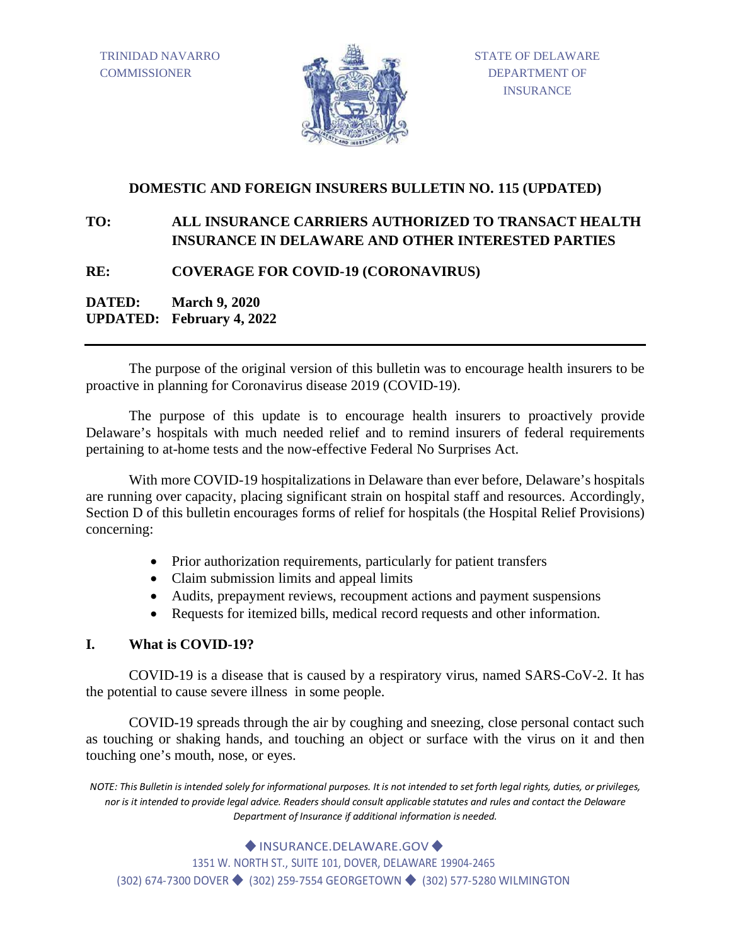TRINIDAD NAVARRO **COMMISSIONER** 



## **DOMESTIC AND FOREIGN INSURERS BULLETIN NO. 115 (UPDATED)**

# **TO: ALL INSURANCE CARRIERS AUTHORIZED TO TRANSACT HEALTH INSURANCE IN DELAWARE AND OTHER INTERESTED PARTIES**

## **RE: COVERAGE FOR COVID-19 (CORONAVIRUS)**

**DATED: March 9, 2020 UPDATED: February 4, 2022**

The purpose of the original version of this bulletin was to encourage health insurers to be proactive in planning for Coronavirus disease 2019 (COVID-19).

The purpose of this update is to encourage health insurers to proactively provide Delaware's hospitals with much needed relief and to remind insurers of federal requirements pertaining to at-home tests and the now-effective Federal No Surprises Act.

With more COVID-19 hospitalizations in Delaware than ever before, Delaware's hospitals are running over capacity, placing significant strain on hospital staff and resources. Accordingly, Section D of this bulletin encourages forms of relief for hospitals (the Hospital Relief Provisions) concerning:

- Prior authorization requirements, particularly for patient transfers
- Claim submission limits and appeal limits
- Audits, prepayment reviews, recoupment actions and payment suspensions
- Requests for itemized bills, medical record requests and other information.

### **I. What is COVID-19?**

COVID-19 is a disease that is caused by a respiratory virus, named SARS-CoV-2. It has the potential to cause severe illness in some people.

COVID-19 spreads through the air by coughing and sneezing, close personal contact such as touching or shaking hands, and touching an object or surface with the virus on it and then touching one's mouth, nose, or eyes.

*NOTE: This Bulletin is intended solely for informational purposes. It is not intended to set forth legal rights, duties, or privileges, nor is it intended to provide legal advice. Readers should consult applicable statutes and rules and contact the Delaware Department of Insurance if additional information is needed.*

◆ INSURANCE.DELAWARE.GOV ◆

1351 W. NORTH ST., SUITE 101, DOVER, DELAWARE 19904-2465

(302) 674-7300 DOVER ♦ (302) 259-7554 GEORGETOWN ♦ (302) 577-5280 WILMINGTON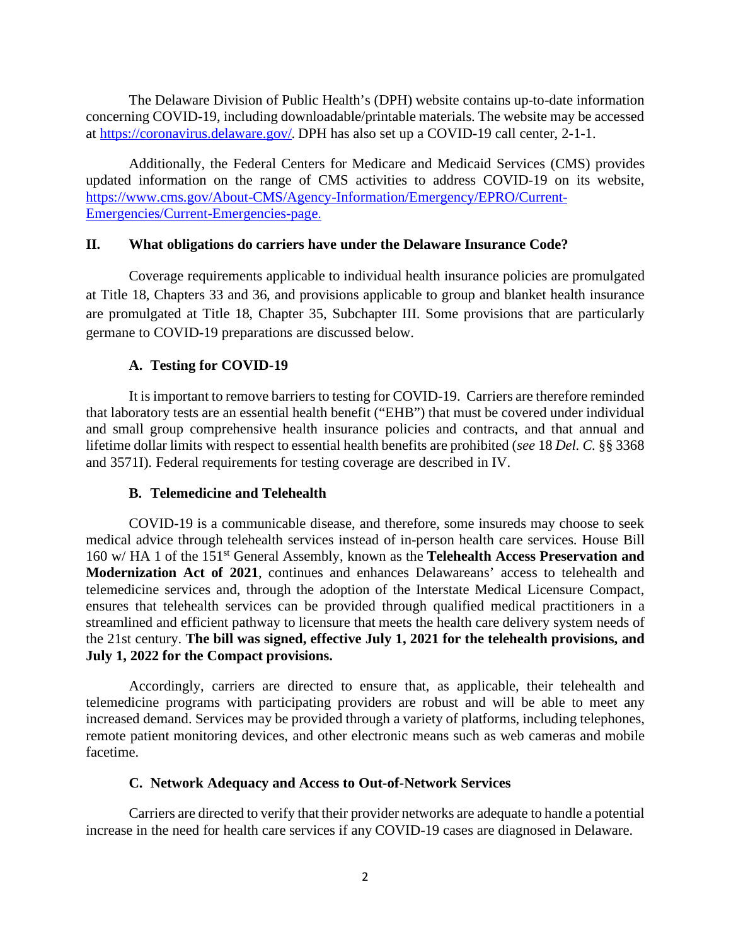The Delaware Division of Public Health's (DPH) website contains up-to-date information concerning COVID-19, including downloadable/printable materials. The website may be accessed at [https://coronavirus.delaware.gov/.](https://dhss.delaware.gov/dhss/dph/epi/2019novelcoronavirus.html) DPH has also set up a COVID-19 call center, 2-1-1.

Additionally, the Federal Centers for Medicare and Medicaid Services (CMS) provides updated information on the range of CMS activities to address COVID-19 on its website, [https://www.cms.gov/About-CMS/Agency-Information/Emergency/EPRO/Current-](https://gcc02.safelinks.protection.outlook.com/?url=https%3A%2F%2Flnks.gd%2Fl%2FeyJhbGciOiJIUzI1NiJ9.eyJidWxsZXRpbl9saW5rX2lkIjoxMDgsInVyaSI6ImJwMjpjbGljayIsImJ1bGxldGluX2lkIjoiMjAyMDAzMDYuMTgyNzQzNzEiLCJ1cmwiOiJodHRwczovL3d3dy5jbXMuZ292L0Fib3V0LUNNUy9BZ2VuY3ktSW5mb3JtYXRpb24vRW1lcmdlbmN5L0VQUk8vQ3VycmVudC1FbWVyZ2VuY2llcy9DdXJyZW50LUVtZXJnZW5jaWVzLXBhZ2UifQ.2t_QJi138P3MbmsWvG3dLUJhfKajDd20ht3O-GHL3ks%2Fbr%2F75797342028-l&data=02%7C01%7CLeslie.Ledogar%40delaware.gov%7Cd27ae3f5ac5042f7139708d7c1e565bd%7C8c09e56951c54deeabb28b99c32a4396%7C0%7C0%7C637191065054216216&sdata=%2B0hPVeAzTF0WobieOr%2F85WlTh%2FiwIsbO47lLfugdEts%3D&reserved=0)[Emergencies/Current-Emergencies-page](https://gcc02.safelinks.protection.outlook.com/?url=https%3A%2F%2Flnks.gd%2Fl%2FeyJhbGciOiJIUzI1NiJ9.eyJidWxsZXRpbl9saW5rX2lkIjoxMDgsInVyaSI6ImJwMjpjbGljayIsImJ1bGxldGluX2lkIjoiMjAyMDAzMDYuMTgyNzQzNzEiLCJ1cmwiOiJodHRwczovL3d3dy5jbXMuZ292L0Fib3V0LUNNUy9BZ2VuY3ktSW5mb3JtYXRpb24vRW1lcmdlbmN5L0VQUk8vQ3VycmVudC1FbWVyZ2VuY2llcy9DdXJyZW50LUVtZXJnZW5jaWVzLXBhZ2UifQ.2t_QJi138P3MbmsWvG3dLUJhfKajDd20ht3O-GHL3ks%2Fbr%2F75797342028-l&data=02%7C01%7CLeslie.Ledogar%40delaware.gov%7Cd27ae3f5ac5042f7139708d7c1e565bd%7C8c09e56951c54deeabb28b99c32a4396%7C0%7C0%7C637191065054216216&sdata=%2B0hPVeAzTF0WobieOr%2F85WlTh%2FiwIsbO47lLfugdEts%3D&reserved=0).

#### **II. What obligations do carriers have under the Delaware Insurance Code?**

Coverage requirements applicable to individual health insurance policies are promulgated at Title 18, Chapters 33 and 36, and provisions applicable to group and blanket health insurance are promulgated at Title 18, Chapter 35, Subchapter III. Some provisions that are particularly germane to COVID-19 preparations are discussed below.

## **A. Testing for COVID-19**

It is important to remove barriers to testing for COVID-19. Carriers are therefore reminded that laboratory tests are an essential health benefit ("EHB") that must be covered under individual and small group comprehensive health insurance policies and contracts, and that annual and lifetime dollar limits with respect to essential health benefits are prohibited (*see* 18 *Del. C.* §§ 3368 and 3571I). Federal requirements for testing coverage are described in IV.

### **B. Telemedicine and Telehealth**

COVID-19 is a communicable disease, and therefore, some insureds may choose to seek medical advice through telehealth services instead of in-person health care services. House Bill 160 w/ HA 1 of the 151st General Assembly, known as the **Telehealth Access Preservation and Modernization Act of 2021**, continues and enhances Delawareans' access to telehealth and telemedicine services and, through the adoption of the Interstate Medical Licensure Compact, ensures that telehealth services can be provided through qualified medical practitioners in a streamlined and efficient pathway to licensure that meets the health care delivery system needs of the 21st century. **The bill was signed, effective July 1, 2021 for the telehealth provisions, and July 1, 2022 for the Compact provisions.**

Accordingly, carriers are directed to ensure that, as applicable, their telehealth and telemedicine programs with participating providers are robust and will be able to meet any increased demand. Services may be provided through a variety of platforms, including telephones, remote patient monitoring devices, and other electronic means such as web cameras and mobile facetime.

#### **C. Network Adequacy and Access to Out-of-Network Services**

Carriers are directed to verify that their provider networks are adequate to handle a potential increase in the need for health care services if any COVID-19 cases are diagnosed in Delaware.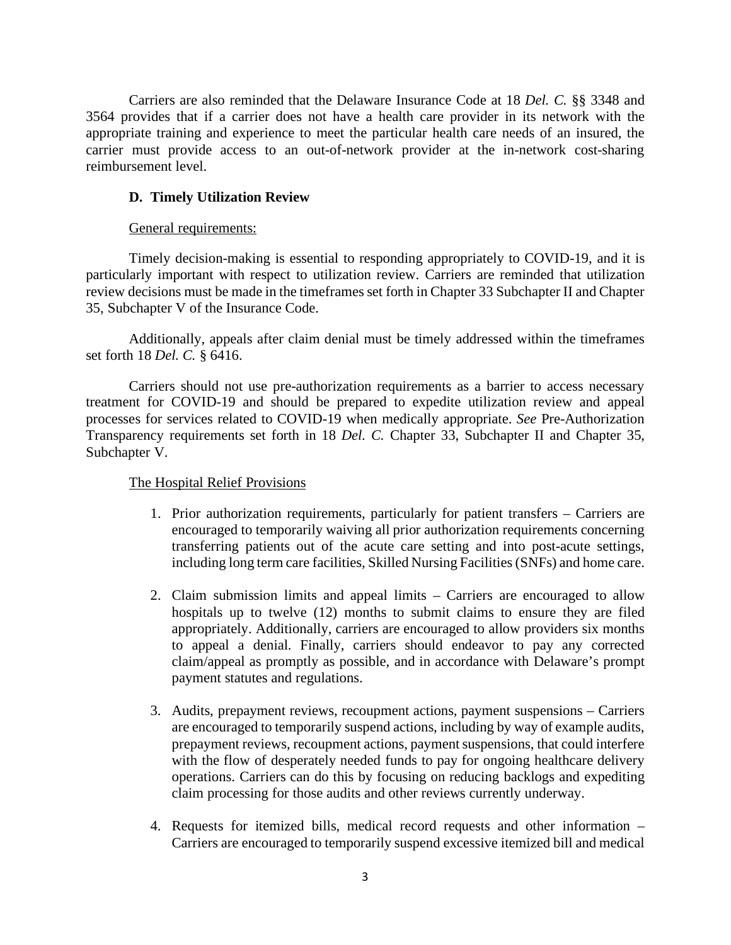Carriers are also reminded that the Delaware Insurance Code at 18 *Del. C.* §§ 3348 and 3564 provides that if a carrier does not have a health care provider in its network with the appropriate training and experience to meet the particular health care needs of an insured, the carrier must provide access to an out-of-network provider at the in-network cost-sharing reimbursement level.

## **D. Timely Utilization Review**

### General requirements:

Timely decision-making is essential to responding appropriately to COVID-19, and it is particularly important with respect to utilization review. Carriers are reminded that utilization review decisions must be made in the timeframes set forth in Chapter 33 Subchapter II and Chapter 35, Subchapter V of the Insurance Code.

Additionally, appeals after claim denial must be timely addressed within the timeframes set forth 18 *Del. C.* § 6416.

Carriers should not use pre-authorization requirements as a barrier to access necessary treatment for COVID-19 and should be prepared to expedite utilization review and appeal processes for services related to COVID-19 when medically appropriate. *See* Pre-Authorization Transparency requirements set forth in 18 *Del. C.* Chapter 33, Subchapter II and Chapter 35, Subchapter V.

### The Hospital Relief Provisions

- 1. Prior authorization requirements, particularly for patient transfers Carriers are encouraged to temporarily waiving all prior authorization requirements concerning transferring patients out of the acute care setting and into post-acute settings, including long term care facilities, Skilled Nursing Facilities (SNFs) and home care.
- 2. Claim submission limits and appeal limits Carriers are encouraged to allow hospitals up to twelve (12) months to submit claims to ensure they are filed appropriately. Additionally, carriers are encouraged to allow providers six months to appeal a denial. Finally, carriers should endeavor to pay any corrected claim/appeal as promptly as possible, and in accordance with Delaware's prompt payment statutes and regulations.
- 3. Audits, prepayment reviews, recoupment actions, payment suspensions Carriers are encouraged to temporarily suspend actions, including by way of example audits, prepayment reviews, recoupment actions, payment suspensions, that could interfere with the flow of desperately needed funds to pay for ongoing healthcare delivery operations. Carriers can do this by focusing on reducing backlogs and expediting claim processing for those audits and other reviews currently underway.
- 4. Requests for itemized bills, medical record requests and other information Carriers are encouraged to temporarily suspend excessive itemized bill and medical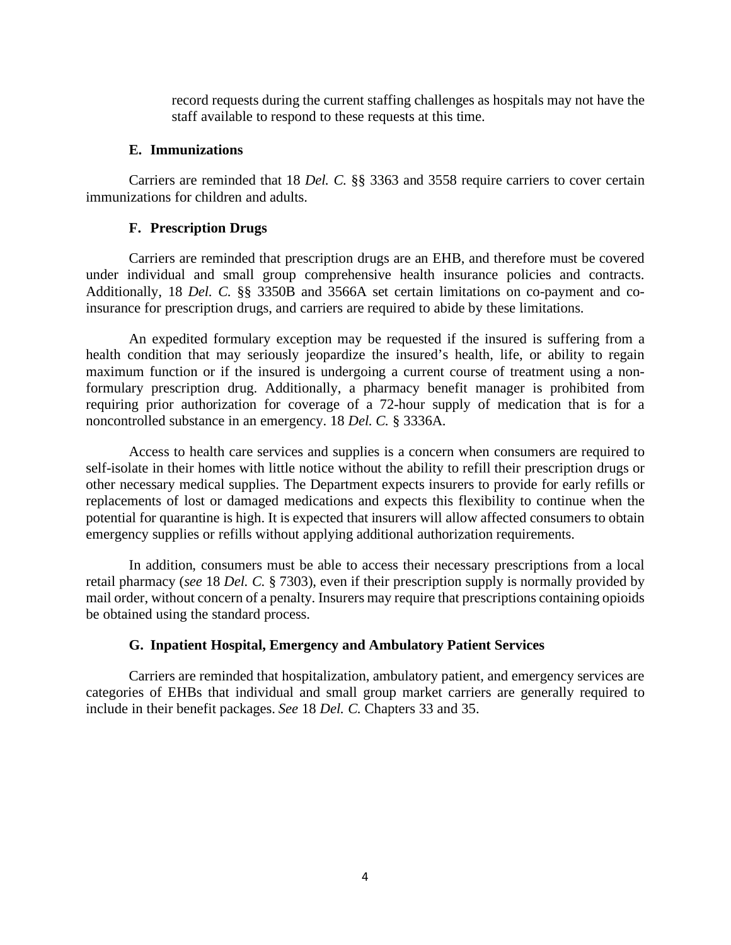record requests during the current staffing challenges as hospitals may not have the staff available to respond to these requests at this time.

#### **E. Immunizations**

Carriers are reminded that 18 *Del. C.* §§ 3363 and 3558 require carriers to cover certain immunizations for children and adults.

#### **F. Prescription Drugs**

Carriers are reminded that prescription drugs are an EHB, and therefore must be covered under individual and small group comprehensive health insurance policies and contracts. Additionally, 18 *Del. C.* §§ 3350B and 3566A set certain limitations on co-payment and coinsurance for prescription drugs, and carriers are required to abide by these limitations.

An expedited formulary exception may be requested if the insured is suffering from a health condition that may seriously jeopardize the insured's health, life, or ability to regain maximum function or if the insured is undergoing a current course of treatment using a nonformulary prescription drug. Additionally, a pharmacy benefit manager is prohibited from requiring prior authorization for coverage of a 72-hour supply of medication that is for a noncontrolled substance in an emergency. 18 *Del. C.* § 3336A.

Access to health care services and supplies is a concern when consumers are required to self-isolate in their homes with little notice without the ability to refill their prescription drugs or other necessary medical supplies. The Department expects insurers to provide for early refills or replacements of lost or damaged medications and expects this flexibility to continue when the potential for quarantine is high. It is expected that insurers will allow affected consumers to obtain emergency supplies or refills without applying additional authorization requirements.

In addition, consumers must be able to access their necessary prescriptions from a local retail pharmacy (*see* 18 *Del. C.* § 7303), even if their prescription supply is normally provided by mail order, without concern of a penalty. Insurers may require that prescriptions containing opioids be obtained using the standard process.

### **G. Inpatient Hospital, Emergency and Ambulatory Patient Services**

Carriers are reminded that hospitalization, ambulatory patient, and emergency services are categories of EHBs that individual and small group market carriers are generally required to include in their benefit packages. *See* 18 *Del. C.* Chapters 33 and 35.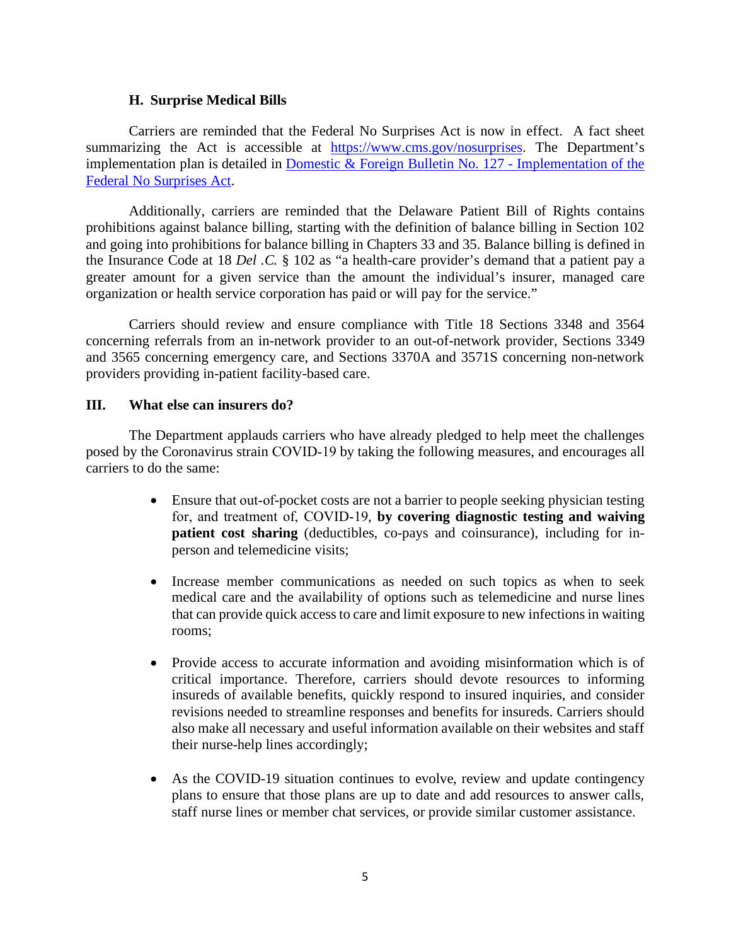#### **H. Surprise Medical Bills**

Carriers are reminded that the Federal No Surprises Act is now in effect. A fact sheet summarizing the Act is accessible at [https://www.cms.gov/nosurprises.](https://www.cms.gov/nosurprises) The Department's implementation plan is detailed in [Domestic & Foreign Bulletin No. 127 -](https://insurance.delaware.gov/wp-content/uploads/sites/15/2021/12/domestic-foreign-insurers-bulletin-no127.pdf) Implementation of the [Federal No Surprises Act.](https://insurance.delaware.gov/wp-content/uploads/sites/15/2021/12/domestic-foreign-insurers-bulletin-no127.pdf)

Additionally, carriers are reminded that the Delaware Patient Bill of Rights contains prohibitions against balance billing, starting with the definition of balance billing in Section 102 and going into prohibitions for balance billing in Chapters 33 and 35. Balance billing is defined in the Insurance Code at 18 *Del .C.* § 102 as "a health-care provider's demand that a patient pay a greater amount for a given service than the amount the individual's insurer, managed care organization or health service corporation has paid or will pay for the service."

Carriers should review and ensure compliance with Title 18 Sections 3348 and 3564 concerning referrals from an in-network provider to an out-of-network provider, Sections 3349 and 3565 concerning emergency care, and Sections 3370A and 3571S concerning non-network providers providing in-patient facility-based care.

#### **III. What else can insurers do?**

The Department applauds carriers who have already pledged to help meet the challenges posed by the Coronavirus strain COVID‐19 by taking the following measures, and encourages all carriers to do the same:

- Ensure that out-of-pocket costs are not a barrier to people seeking physician testing for, and treatment of, COVID‐19, **by covering diagnostic testing and waiving patient cost sharing** (deductibles, co-pays and coinsurance), including for inperson and telemedicine visits;
- Increase member communications as needed on such topics as when to seek medical care and the availability of options such as telemedicine and nurse lines that can provide quick access to care and limit exposure to new infections in waiting rooms;
- Provide access to accurate information and avoiding misinformation which is of critical importance. Therefore, carriers should devote resources to informing insureds of available benefits, quickly respond to insured inquiries, and consider revisions needed to streamline responses and benefits for insureds. Carriers should also make all necessary and useful information available on their websites and staff their nurse-help lines accordingly;
- As the COVID-19 situation continues to evolve, review and update contingency plans to ensure that those plans are up to date and add resources to answer calls, staff nurse lines or member chat services, or provide similar customer assistance.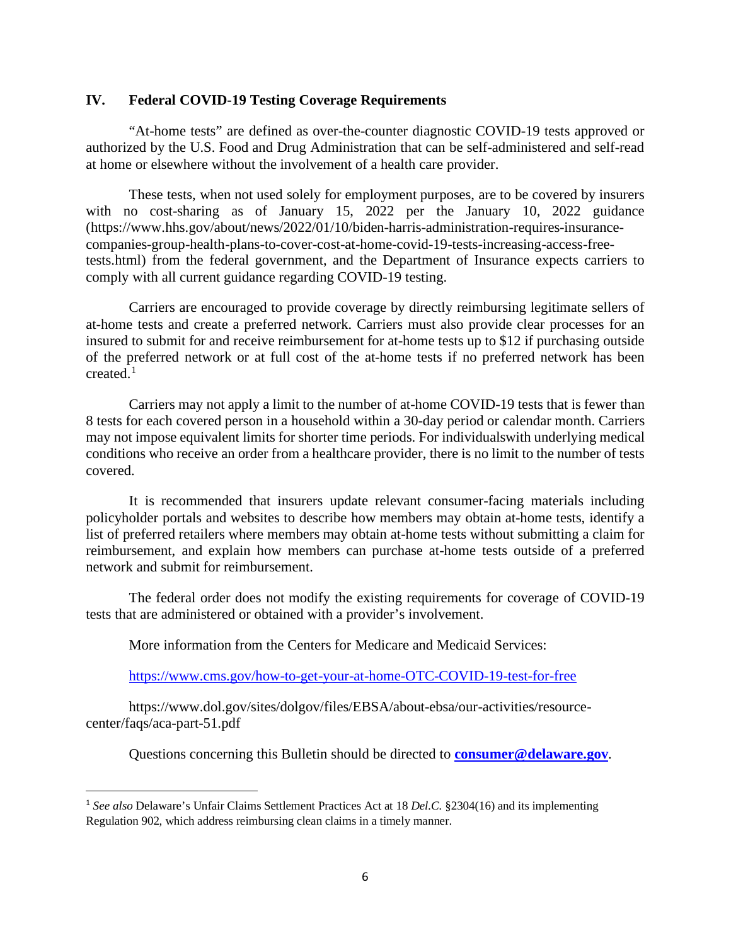#### **IV. Federal COVID-19 Testing Coverage Requirements**

"At-home tests" are defined as over-the-counter diagnostic COVID-19 tests approved or authorized by the U.S. Food and Drug Administration that can be self-administered and self-read at home or elsewhere without the involvement of a health care provider.

These tests, when not used solely for employment purposes, are to be covered by insurers with no cost-sharing as of January 15, 2022 per the January 10, 2022 guidance (https://www.hhs.gov/about/news/2022/01/10/biden-harris-administration-requires-insurancecompanies-group-health-plans-to-cover-cost-at-home-covid-19-tests-increasing-access-freetests.html) from the federal government, and the Department of Insurance expects carriers to comply with all current guidance regarding COVID-19 testing.

Carriers are encouraged to provide coverage by directly reimbursing legitimate sellers of at-home tests and create a preferred network. Carriers must also provide clear processes for an insured to submit for and receive reimbursement for at-home tests up to \$12 if purchasing outside of the preferred network or at full cost of the at-home tests if no preferred network has been created. $1$ 

Carriers may not apply a limit to the number of at-home COVID-19 tests that is fewer than 8 tests for each covered person in a household within a 30-day period or calendar month. Carriers may not impose equivalent limits for shorter time periods. For individualswith underlying medical conditions who receive an order from a healthcare provider, there is no limit to the number of tests covered.

It is recommended that insurers update relevant consumer-facing materials including policyholder portals and websites to describe how members may obtain at-home tests, identify a list of preferred retailers where members may obtain at-home tests without submitting a claim for reimbursement, and explain how members can purchase at-home tests outside of a preferred network and submit for reimbursement.

The federal order does not modify the existing requirements for coverage of COVID-19 tests that are administered or obtained with a provider's involvement.

More information from the Centers for Medicare and Medicaid Services:

<https://www.cms.gov/how-to-get-your-at-home-OTC-COVID-19-test-for-free>

https://www.dol.gov/sites/dolgov/files/EBSA/about-ebsa/our-activities/resourcecenter/faqs/aca-part-51.pdf

Questions concerning this Bulletin should be directed to **[consumer@delaware.gov](mailto:consumer@delaware.gov)**.

<span id="page-5-0"></span><sup>1</sup> *See also* Delaware's Unfair Claims Settlement Practices Act at 18 *Del.C.* §2304(16) and its implementing Regulation 902, which address reimbursing clean claims in a timely manner.